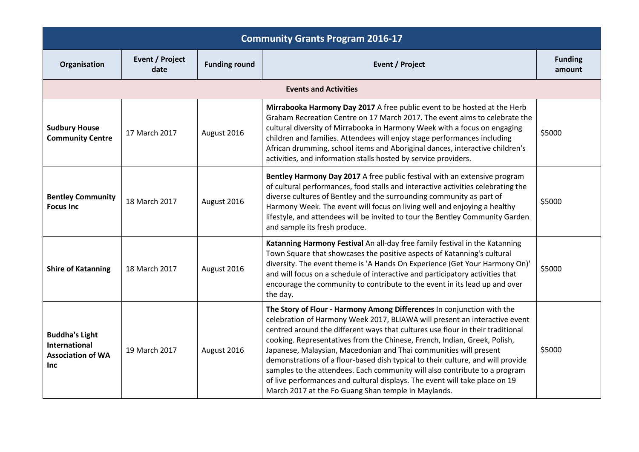| <b>Community Grants Program 2016-17</b>                                          |                                |                      |                                                                                                                                                                                                                                                                                                                                                                                                                                                                                                                                                                                                                                                                                                 |                          |  |
|----------------------------------------------------------------------------------|--------------------------------|----------------------|-------------------------------------------------------------------------------------------------------------------------------------------------------------------------------------------------------------------------------------------------------------------------------------------------------------------------------------------------------------------------------------------------------------------------------------------------------------------------------------------------------------------------------------------------------------------------------------------------------------------------------------------------------------------------------------------------|--------------------------|--|
| Organisation                                                                     | <b>Event / Project</b><br>date | <b>Funding round</b> | <b>Event / Project</b>                                                                                                                                                                                                                                                                                                                                                                                                                                                                                                                                                                                                                                                                          | <b>Funding</b><br>amount |  |
|                                                                                  |                                |                      | <b>Events and Activities</b>                                                                                                                                                                                                                                                                                                                                                                                                                                                                                                                                                                                                                                                                    |                          |  |
| <b>Sudbury House</b><br><b>Community Centre</b>                                  | 17 March 2017                  | August 2016          | Mirrabooka Harmony Day 2017 A free public event to be hosted at the Herb<br>Graham Recreation Centre on 17 March 2017. The event aims to celebrate the<br>cultural diversity of Mirrabooka in Harmony Week with a focus on engaging<br>children and families. Attendees will enjoy stage performances including<br>African drumming, school items and Aboriginal dances, interactive children's<br>activities, and information stalls hosted by service providers.                                                                                                                                                                                                                              | \$5000                   |  |
| <b>Bentley Community</b><br><b>Focus Inc</b>                                     | 18 March 2017                  | August 2016          | Bentley Harmony Day 2017 A free public festival with an extensive program<br>of cultural performances, food stalls and interactive activities celebrating the<br>diverse cultures of Bentley and the surrounding community as part of<br>Harmony Week. The event will focus on living well and enjoying a healthy<br>lifestyle, and attendees will be invited to tour the Bentley Community Garden<br>and sample its fresh produce.                                                                                                                                                                                                                                                             | \$5000                   |  |
| <b>Shire of Katanning</b>                                                        | 18 March 2017                  | August 2016          | Katanning Harmony Festival An all-day free family festival in the Katanning<br>Town Square that showcases the positive aspects of Katanning's cultural<br>diversity. The event theme is 'A Hands On Experience (Get Your Harmony On)'<br>and will focus on a schedule of interactive and participatory activities that<br>encourage the community to contribute to the event in its lead up and over<br>the day.                                                                                                                                                                                                                                                                                | \$5000                   |  |
| <b>Buddha's Light</b><br>International<br><b>Association of WA</b><br><b>Inc</b> | 19 March 2017                  | August 2016          | The Story of Flour - Harmony Among Differences In conjunction with the<br>celebration of Harmony Week 2017, BLIAWA will present an interactive event<br>centred around the different ways that cultures use flour in their traditional<br>cooking. Representatives from the Chinese, French, Indian, Greek, Polish,<br>Japanese, Malaysian, Macedonian and Thai communities will present<br>demonstrations of a flour-based dish typical to their culture, and will provide<br>samples to the attendees. Each community will also contribute to a program<br>of live performances and cultural displays. The event will take place on 19<br>March 2017 at the Fo Guang Shan temple in Maylands. | \$5000                   |  |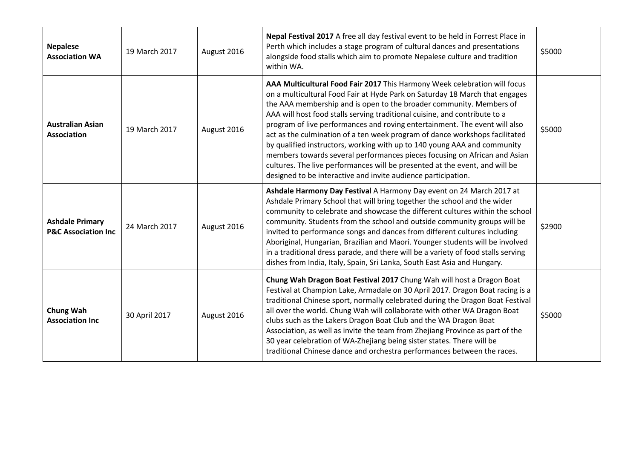| <b>Nepalese</b><br><b>Association WA</b>                  | 19 March 2017 | August 2016 | Nepal Festival 2017 A free all day festival event to be held in Forrest Place in<br>Perth which includes a stage program of cultural dances and presentations<br>alongside food stalls which aim to promote Nepalese culture and tradition<br>within WA.                                                                                                                                                                                                                                                                                                                                                                                                                                                                                                                            | \$5000 |
|-----------------------------------------------------------|---------------|-------------|-------------------------------------------------------------------------------------------------------------------------------------------------------------------------------------------------------------------------------------------------------------------------------------------------------------------------------------------------------------------------------------------------------------------------------------------------------------------------------------------------------------------------------------------------------------------------------------------------------------------------------------------------------------------------------------------------------------------------------------------------------------------------------------|--------|
| <b>Australian Asian</b><br><b>Association</b>             | 19 March 2017 | August 2016 | AAA Multicultural Food Fair 2017 This Harmony Week celebration will focus<br>on a multicultural Food Fair at Hyde Park on Saturday 18 March that engages<br>the AAA membership and is open to the broader community. Members of<br>AAA will host food stalls serving traditional cuisine, and contribute to a<br>program of live performances and roving entertainment. The event will also<br>act as the culmination of a ten week program of dance workshops facilitated<br>by qualified instructors, working with up to 140 young AAA and community<br>members towards several performances pieces focusing on African and Asian<br>cultures. The live performances will be presented at the event, and will be<br>designed to be interactive and invite audience participation. | \$5000 |
| <b>Ashdale Primary</b><br><b>P&amp;C Association Inc.</b> | 24 March 2017 | August 2016 | Ashdale Harmony Day Festival A Harmony Day event on 24 March 2017 at<br>Ashdale Primary School that will bring together the school and the wider<br>community to celebrate and showcase the different cultures within the school<br>community. Students from the school and outside community groups will be<br>invited to performance songs and dances from different cultures including<br>Aboriginal, Hungarian, Brazilian and Maori. Younger students will be involved<br>in a traditional dress parade, and there will be a variety of food stalls serving<br>dishes from India, Italy, Spain, Sri Lanka, South East Asia and Hungary.                                                                                                                                         | \$2900 |
| Chung Wah<br><b>Association Inc</b>                       | 30 April 2017 | August 2016 | Chung Wah Dragon Boat Festival 2017 Chung Wah will host a Dragon Boat<br>Festival at Champion Lake, Armadale on 30 April 2017. Dragon Boat racing is a<br>traditional Chinese sport, normally celebrated during the Dragon Boat Festival<br>all over the world. Chung Wah will collaborate with other WA Dragon Boat<br>clubs such as the Lakers Dragon Boat Club and the WA Dragon Boat<br>Association, as well as invite the team from Zhejiang Province as part of the<br>30 year celebration of WA-Zhejiang being sister states. There will be<br>traditional Chinese dance and orchestra performances between the races.                                                                                                                                                       | \$5000 |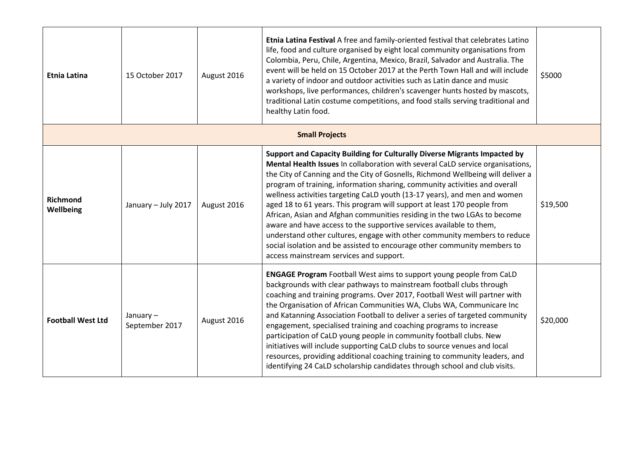| <b>Etnia Latina</b>          | 15 October 2017               | August 2016 | Etnia Latina Festival A free and family-oriented festival that celebrates Latino<br>life, food and culture organised by eight local community organisations from<br>Colombia, Peru, Chile, Argentina, Mexico, Brazil, Salvador and Australia. The<br>event will be held on 15 October 2017 at the Perth Town Hall and will include<br>a variety of indoor and outdoor activities such as Latin dance and music<br>workshops, live performances, children's scavenger hunts hosted by mascots,<br>traditional Latin costume competitions, and food stalls serving traditional and<br>healthy Latin food.                                                                                                                                                                                                                                    | \$5000   |
|------------------------------|-------------------------------|-------------|--------------------------------------------------------------------------------------------------------------------------------------------------------------------------------------------------------------------------------------------------------------------------------------------------------------------------------------------------------------------------------------------------------------------------------------------------------------------------------------------------------------------------------------------------------------------------------------------------------------------------------------------------------------------------------------------------------------------------------------------------------------------------------------------------------------------------------------------|----------|
|                              |                               |             | <b>Small Projects</b>                                                                                                                                                                                                                                                                                                                                                                                                                                                                                                                                                                                                                                                                                                                                                                                                                      |          |
| Richmond<br><b>Wellbeing</b> | January - July 2017           | August 2016 | Support and Capacity Building for Culturally Diverse Migrants Impacted by<br>Mental Health Issues In collaboration with several CaLD service organisations,<br>the City of Canning and the City of Gosnells, Richmond Wellbeing will deliver a<br>program of training, information sharing, community activities and overall<br>wellness activities targeting CaLD youth (13-17 years), and men and women<br>aged 18 to 61 years. This program will support at least 170 people from<br>African, Asian and Afghan communities residing in the two LGAs to become<br>aware and have access to the supportive services available to them,<br>understand other cultures, engage with other community members to reduce<br>social isolation and be assisted to encourage other community members to<br>access mainstream services and support. | \$19,500 |
| <b>Football West Ltd</b>     | January $-$<br>September 2017 | August 2016 | ENGAGE Program Football West aims to support young people from CaLD<br>backgrounds with clear pathways to mainstream football clubs through<br>coaching and training programs. Over 2017, Football West will partner with<br>the Organisation of African Communities WA, Clubs WA, Communicare Inc<br>and Katanning Association Football to deliver a series of targeted community<br>engagement, specialised training and coaching programs to increase<br>participation of CaLD young people in community football clubs. New<br>initiatives will include supporting CaLD clubs to source venues and local<br>resources, providing additional coaching training to community leaders, and<br>identifying 24 CaLD scholarship candidates through school and club visits.                                                                  | \$20,000 |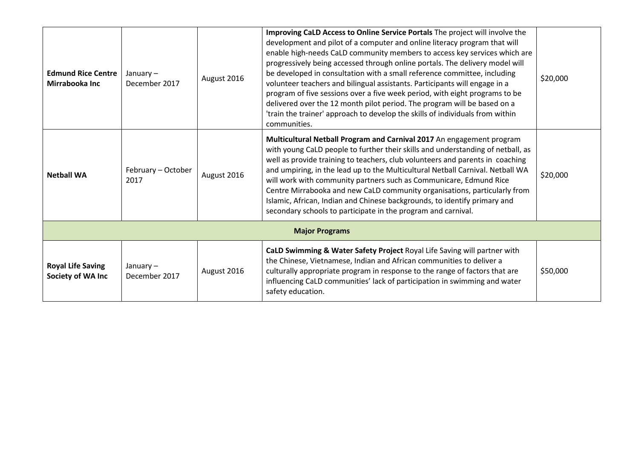| <b>Edmund Rice Centre</b><br>Mirrabooka Inc   | January $-$<br>December 2017 | August 2016 | Improving CaLD Access to Online Service Portals The project will involve the<br>development and pilot of a computer and online literacy program that will<br>enable high-needs CaLD community members to access key services which are<br>progressively being accessed through online portals. The delivery model will<br>be developed in consultation with a small reference committee, including<br>volunteer teachers and bilingual assistants. Participants will engage in a<br>program of five sessions over a five week period, with eight programs to be<br>delivered over the 12 month pilot period. The program will be based on a<br>'train the trainer' approach to develop the skills of individuals from within<br>communities. | \$20,000 |
|-----------------------------------------------|------------------------------|-------------|----------------------------------------------------------------------------------------------------------------------------------------------------------------------------------------------------------------------------------------------------------------------------------------------------------------------------------------------------------------------------------------------------------------------------------------------------------------------------------------------------------------------------------------------------------------------------------------------------------------------------------------------------------------------------------------------------------------------------------------------|----------|
| <b>Netball WA</b>                             | February - October<br>2017   | August 2016 | Multicultural Netball Program and Carnival 2017 An engagement program<br>with young CaLD people to further their skills and understanding of netball, as<br>well as provide training to teachers, club volunteers and parents in coaching<br>and umpiring, in the lead up to the Multicultural Netball Carnival. Netball WA<br>will work with community partners such as Communicare, Edmund Rice<br>Centre Mirrabooka and new CaLD community organisations, particularly from<br>Islamic, African, Indian and Chinese backgrounds, to identify primary and<br>secondary schools to participate in the program and carnival.                                                                                                                 | \$20,000 |
|                                               |                              |             | <b>Major Programs</b>                                                                                                                                                                                                                                                                                                                                                                                                                                                                                                                                                                                                                                                                                                                        |          |
| <b>Royal Life Saving</b><br>Society of WA Inc | January $-$<br>December 2017 | August 2016 | CaLD Swimming & Water Safety Project Royal Life Saving will partner with<br>the Chinese, Vietnamese, Indian and African communities to deliver a<br>culturally appropriate program in response to the range of factors that are<br>influencing CaLD communities' lack of participation in swimming and water<br>safety education.                                                                                                                                                                                                                                                                                                                                                                                                            | \$50,000 |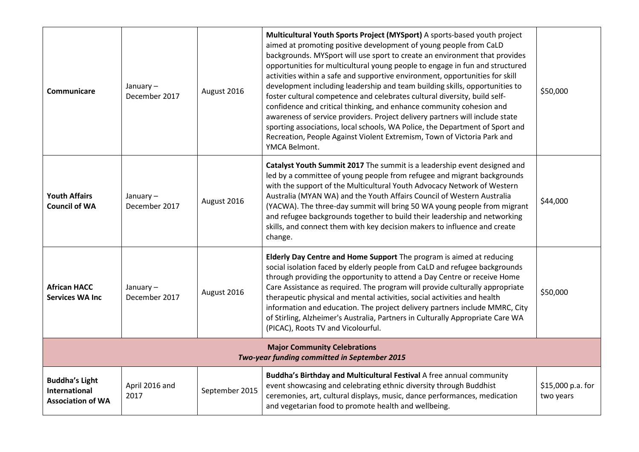| <b>Communicare</b>                                                        | January $-$<br>December 2017 | August 2016    | Multicultural Youth Sports Project (MYSport) A sports-based youth project<br>aimed at promoting positive development of young people from CaLD<br>backgrounds. MYSport will use sport to create an environment that provides<br>opportunities for multicultural young people to engage in fun and structured<br>activities within a safe and supportive environment, opportunities for skill<br>development including leadership and team building skills, opportunities to<br>foster cultural competence and celebrates cultural diversity, build self-<br>confidence and critical thinking, and enhance community cohesion and<br>awareness of service providers. Project delivery partners will include state<br>sporting associations, local schools, WA Police, the Department of Sport and<br>Recreation, People Against Violent Extremism, Town of Victoria Park and<br>YMCA Belmont. | \$50,000                       |
|---------------------------------------------------------------------------|------------------------------|----------------|----------------------------------------------------------------------------------------------------------------------------------------------------------------------------------------------------------------------------------------------------------------------------------------------------------------------------------------------------------------------------------------------------------------------------------------------------------------------------------------------------------------------------------------------------------------------------------------------------------------------------------------------------------------------------------------------------------------------------------------------------------------------------------------------------------------------------------------------------------------------------------------------|--------------------------------|
| <b>Youth Affairs</b><br><b>Council of WA</b>                              | January-<br>December 2017    | August 2016    | Catalyst Youth Summit 2017 The summit is a leadership event designed and<br>led by a committee of young people from refugee and migrant backgrounds<br>with the support of the Multicultural Youth Advocacy Network of Western<br>Australia (MYAN WA) and the Youth Affairs Council of Western Australia<br>(YACWA). The three-day summit will bring 50 WA young people from migrant<br>and refugee backgrounds together to build their leadership and networking<br>skills, and connect them with key decision makers to influence and create<br>change.                                                                                                                                                                                                                                                                                                                                    | \$44,000                       |
| <b>African HACC</b><br><b>Services WA Inc</b>                             | January-<br>December 2017    | August 2016    | Elderly Day Centre and Home Support The program is aimed at reducing<br>social isolation faced by elderly people from CaLD and refugee backgrounds<br>through providing the opportunity to attend a Day Centre or receive Home<br>Care Assistance as required. The program will provide culturally appropriate<br>therapeutic physical and mental activities, social activities and health<br>information and education. The project delivery partners include MMRC, City<br>of Stirling, Alzheimer's Australia, Partners in Culturally Appropriate Care WA<br>(PICAC), Roots TV and Vicolourful.                                                                                                                                                                                                                                                                                            | \$50,000                       |
|                                                                           |                              |                | <b>Major Community Celebrations</b><br>Two-year funding committed in September 2015                                                                                                                                                                                                                                                                                                                                                                                                                                                                                                                                                                                                                                                                                                                                                                                                          |                                |
| <b>Buddha's Light</b><br><b>International</b><br><b>Association of WA</b> | April 2016 and<br>2017       | September 2015 | Buddha's Birthday and Multicultural Festival A free annual community<br>event showcasing and celebrating ethnic diversity through Buddhist<br>ceremonies, art, cultural displays, music, dance performances, medication<br>and vegetarian food to promote health and wellbeing.                                                                                                                                                                                                                                                                                                                                                                                                                                                                                                                                                                                                              | \$15,000 p.a. for<br>two years |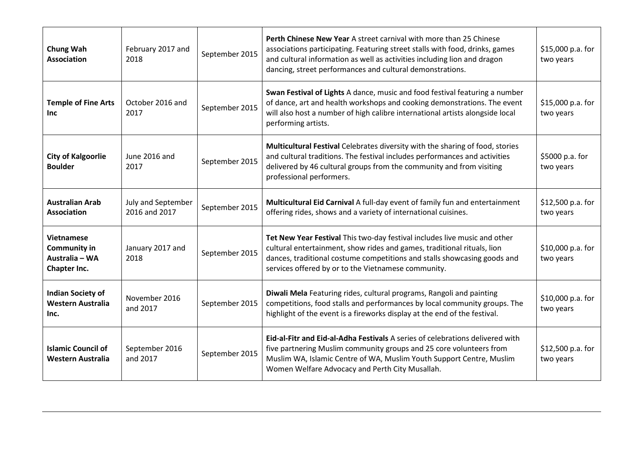| Chung Wah<br><b>Association</b>                                            | February 2017 and<br>2018           | September 2015 | Perth Chinese New Year A street carnival with more than 25 Chinese<br>associations participating. Featuring street stalls with food, drinks, games<br>and cultural information as well as activities including lion and dragon<br>dancing, street performances and cultural demonstrations. | \$15,000 p.a. for<br>two years  |
|----------------------------------------------------------------------------|-------------------------------------|----------------|---------------------------------------------------------------------------------------------------------------------------------------------------------------------------------------------------------------------------------------------------------------------------------------------|---------------------------------|
| <b>Temple of Fine Arts</b><br>Inc                                          | October 2016 and<br>2017            | September 2015 | Swan Festival of Lights A dance, music and food festival featuring a number<br>of dance, art and health workshops and cooking demonstrations. The event<br>will also host a number of high calibre international artists alongside local<br>performing artists.                             | $$15,000 p.a.$ for<br>two years |
| <b>City of Kalgoorlie</b><br><b>Boulder</b>                                | June 2016 and<br>2017               | September 2015 | Multicultural Festival Celebrates diversity with the sharing of food, stories<br>and cultural traditions. The festival includes performances and activities<br>delivered by 46 cultural groups from the community and from visiting<br>professional performers.                             | \$5000 p.a. for<br>two years    |
| <b>Australian Arab</b><br><b>Association</b>                               | July and September<br>2016 and 2017 | September 2015 | Multicultural Eid Carnival A full-day event of family fun and entertainment<br>offering rides, shows and a variety of international cuisines.                                                                                                                                               | \$12,500 p.a. for<br>two years  |
| <b>Vietnamese</b><br><b>Community in</b><br>Australia - WA<br>Chapter Inc. | January 2017 and<br>2018            | September 2015 | Tet New Year Festival This two-day festival includes live music and other<br>cultural entertainment, show rides and games, traditional rituals, lion<br>dances, traditional costume competitions and stalls showcasing goods and<br>services offered by or to the Vietnamese community.     | $$10,000$ p.a. for<br>two years |
| <b>Indian Society of</b><br><b>Western Australia</b><br>Inc.               | November 2016<br>and 2017           | September 2015 | Diwali Mela Featuring rides, cultural programs, Rangoli and painting<br>competitions, food stalls and performances by local community groups. The<br>highlight of the event is a fireworks display at the end of the festival.                                                              | $$10,000$ p.a. for<br>two years |
| <b>Islamic Council of</b><br>Western Australia                             | September 2016<br>and 2017          | September 2015 | <b>Eid-al-Fitr and Eid-al-Adha Festivals</b> A series of celebrations delivered with<br>five partnering Muslim community groups and 25 core volunteers from<br>Muslim WA, Islamic Centre of WA, Muslim Youth Support Centre, Muslim<br>Women Welfare Advocacy and Perth City Musallah.      | \$12,500 p.a. for<br>two years  |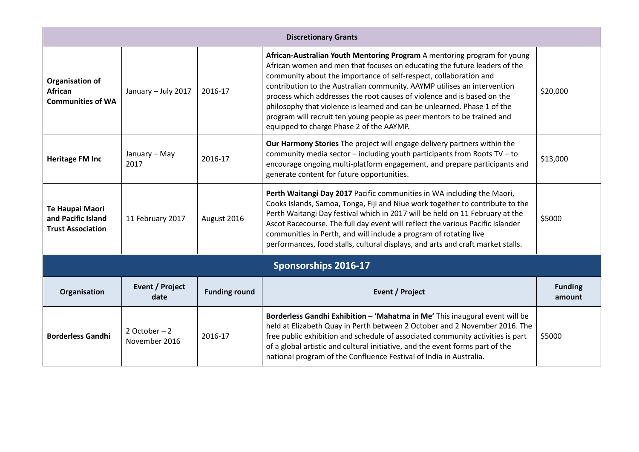| <b>Discretionary Grants</b>                                          |                                 |                      |                                                                                                                                                                                                                                                                                                                                                                                                                                                                                                                                                                                      |                          |  |
|----------------------------------------------------------------------|---------------------------------|----------------------|--------------------------------------------------------------------------------------------------------------------------------------------------------------------------------------------------------------------------------------------------------------------------------------------------------------------------------------------------------------------------------------------------------------------------------------------------------------------------------------------------------------------------------------------------------------------------------------|--------------------------|--|
| <b>Organisation of</b><br><b>African</b><br><b>Communities of WA</b> | January - July 2017             | 2016-17              | African-Australian Youth Mentoring Program A mentoring program for young<br>African women and men that focuses on educating the future leaders of the<br>community about the importance of self-respect, collaboration and<br>contribution to the Australian community. AAYMP utilises an intervention<br>process which addresses the root causes of violence and is based on the<br>philosophy that violence is learned and can be unlearned. Phase 1 of the<br>program will recruit ten young people as peer mentors to be trained and<br>equipped to charge Phase 2 of the AAYMP. | \$20,000                 |  |
| <b>Heritage FM Inc</b>                                               | January - May<br>2017           | 2016-17              | Our Harmony Stories The project will engage delivery partners within the<br>community media sector - including youth participants from Roots TV - to<br>encourage ongoing multi-platform engagement, and prepare participants and<br>generate content for future opportunities.                                                                                                                                                                                                                                                                                                      | \$13,000                 |  |
| Te Haupai Maori<br>and Pacific Island<br><b>Trust Association</b>    | 11 February 2017                | August 2016          | Perth Waitangi Day 2017 Pacific communities in WA including the Maori,<br>Cooks Islands, Samoa, Tonga, Fiji and Niue work together to contribute to the<br>Perth Waitangi Day festival which in 2017 will be held on 11 February at the<br>Ascot Racecourse. The full day event will reflect the various Pacific Islander<br>communities in Perth, and will include a program of rotating live<br>performances, food stalls, cultural displays, and arts and craft market stalls.                                                                                                    | \$5000                   |  |
|                                                                      |                                 |                      | Sponsorships 2016-17                                                                                                                                                                                                                                                                                                                                                                                                                                                                                                                                                                 |                          |  |
| Organisation                                                         | <b>Event / Project</b><br>date  | <b>Funding round</b> | <b>Event / Project</b>                                                                                                                                                                                                                                                                                                                                                                                                                                                                                                                                                               | <b>Funding</b><br>amount |  |
| <b>Borderless Gandhi</b>                                             | 2 October $-2$<br>November 2016 | 2016-17              | Borderless Gandhi Exhibition - 'Mahatma in Me' This inaugural event will be<br>held at Elizabeth Quay in Perth between 2 October and 2 November 2016. The<br>free public exhibition and schedule of associated community activities is part<br>of a global artistic and cultural initiative, and the event forms part of the<br>national program of the Confluence Festival of India in Australia.                                                                                                                                                                                   | \$5000                   |  |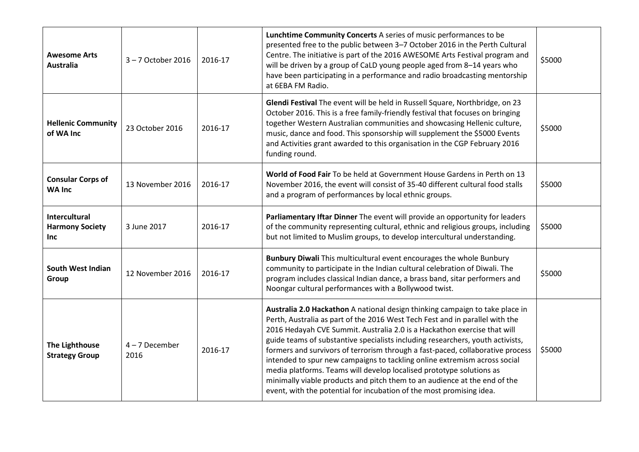| <b>Awesome Arts</b><br><b>Australia</b>               | 3-7 October 2016         | 2016-17 | Lunchtime Community Concerts A series of music performances to be<br>presented free to the public between 3-7 October 2016 in the Perth Cultural<br>Centre. The initiative is part of the 2016 AWESOME Arts Festival program and<br>will be driven by a group of CaLD young people aged from 8-14 years who<br>have been participating in a performance and radio broadcasting mentorship<br>at 6EBA FM Radio.                                                                                                                                                                                                                                                                                                         | \$5000 |
|-------------------------------------------------------|--------------------------|---------|------------------------------------------------------------------------------------------------------------------------------------------------------------------------------------------------------------------------------------------------------------------------------------------------------------------------------------------------------------------------------------------------------------------------------------------------------------------------------------------------------------------------------------------------------------------------------------------------------------------------------------------------------------------------------------------------------------------------|--------|
| <b>Hellenic Community</b><br>of WA Inc                | 23 October 2016          | 2016-17 | Glendi Festival The event will be held in Russell Square, Northbridge, on 23<br>October 2016. This is a free family-friendly festival that focuses on bringing<br>together Western Australian communities and showcasing Hellenic culture,<br>music, dance and food. This sponsorship will supplement the \$5000 Events<br>and Activities grant awarded to this organisation in the CGP February 2016<br>funding round.                                                                                                                                                                                                                                                                                                | \$5000 |
| <b>Consular Corps of</b><br><b>WA Inc</b>             | 13 November 2016         | 2016-17 | World of Food Fair To be held at Government House Gardens in Perth on 13<br>November 2016, the event will consist of 35-40 different cultural food stalls<br>and a program of performances by local ethnic groups.                                                                                                                                                                                                                                                                                                                                                                                                                                                                                                     | \$5000 |
| Intercultural<br><b>Harmony Society</b><br><b>Inc</b> | 3 June 2017              | 2016-17 | Parliamentary Iftar Dinner The event will provide an opportunity for leaders<br>of the community representing cultural, ethnic and religious groups, including<br>but not limited to Muslim groups, to develop intercultural understanding.                                                                                                                                                                                                                                                                                                                                                                                                                                                                            | \$5000 |
| <b>South West Indian</b><br>Group                     | 12 November 2016         | 2016-17 | Bunbury Diwali This multicultural event encourages the whole Bunbury<br>community to participate in the Indian cultural celebration of Diwali. The<br>program includes classical Indian dance, a brass band, sitar performers and<br>Noongar cultural performances with a Bollywood twist.                                                                                                                                                                                                                                                                                                                                                                                                                             | \$5000 |
| <b>The Lighthouse</b><br><b>Strategy Group</b>        | $4 - 7$ December<br>2016 | 2016-17 | Australia 2.0 Hackathon A national design thinking campaign to take place in<br>Perth, Australia as part of the 2016 West Tech Fest and in parallel with the<br>2016 Hedayah CVE Summit. Australia 2.0 is a Hackathon exercise that will<br>guide teams of substantive specialists including researchers, youth activists,<br>formers and survivors of terrorism through a fast-paced, collaborative process<br>intended to spur new campaigns to tackling online extremism across social<br>media platforms. Teams will develop localised prototype solutions as<br>minimally viable products and pitch them to an audience at the end of the<br>event, with the potential for incubation of the most promising idea. | \$5000 |